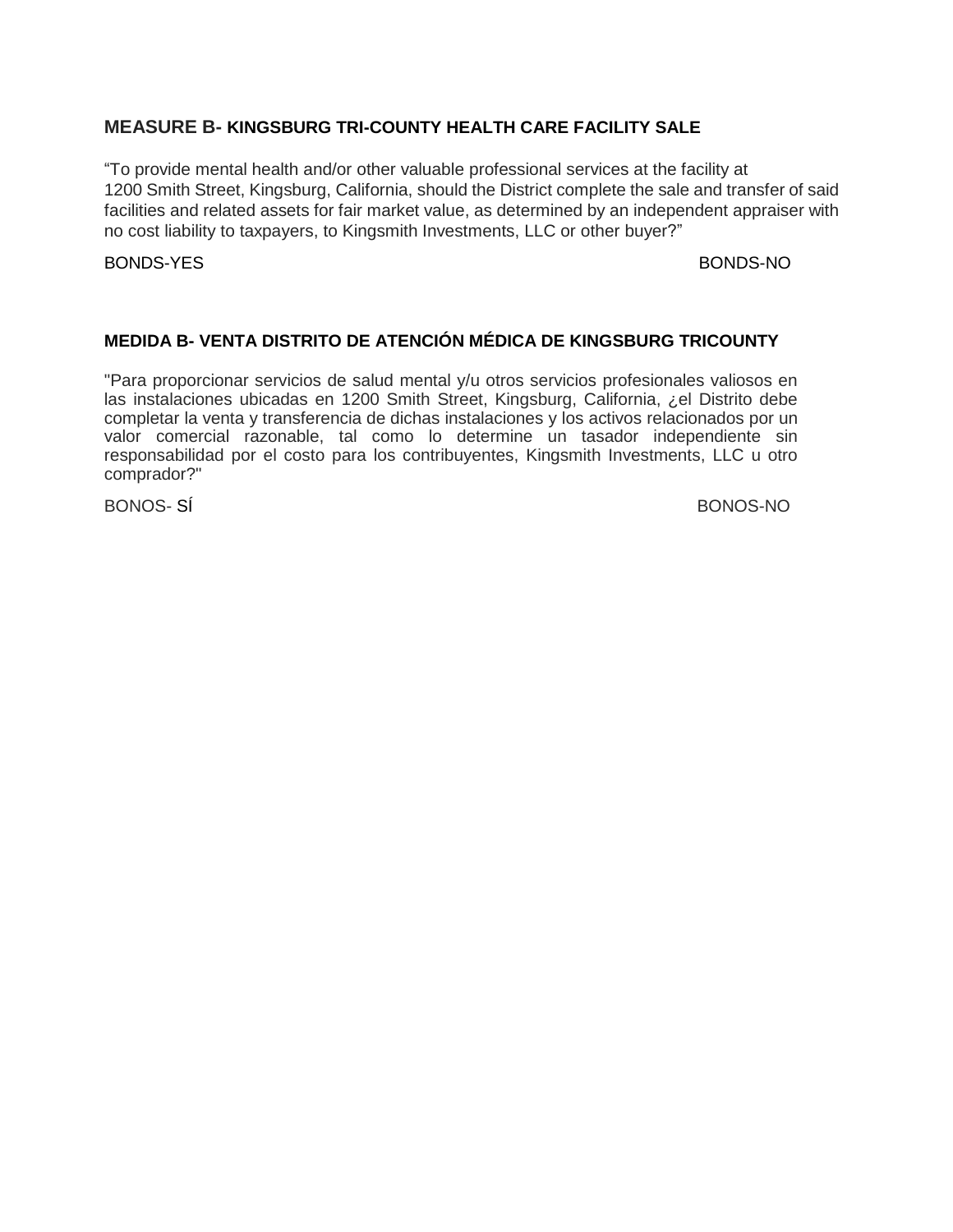# **MEASURE B- KINGSBURG TRI-COUNTY HEALTH CARE FACILITY SALE**

"To provide mental health and/or other valuable professional services at the facility at 1200 Smith Street, Kingsburg, California, should the District complete the sale and transfer of said facilities and related assets for fair market value, as determined by an independent appraiser with no cost liability to taxpayers, to Kingsmith Investments, LLC or other buyer?"

## BONDS-YES BONDS-NO

## **MEDIDA B- VENTA DISTRITO DE ATENCIÓN MÉDICA DE KINGSBURG TRICOUNTY**

"Para proporcionar servicios de salud mental y/u otros servicios profesionales valiosos en las instalaciones ubicadas en 1200 Smith Street, Kingsburg, California, ¿el Distrito debe completar la venta y transferencia de dichas instalaciones y los activos relacionados por un valor comercial razonable, tal como lo determine un tasador independiente sin responsabilidad por el costo para los contribuyentes, Kingsmith Investments, LLC u otro comprador?"

BONOS- SÍ BONOS-NO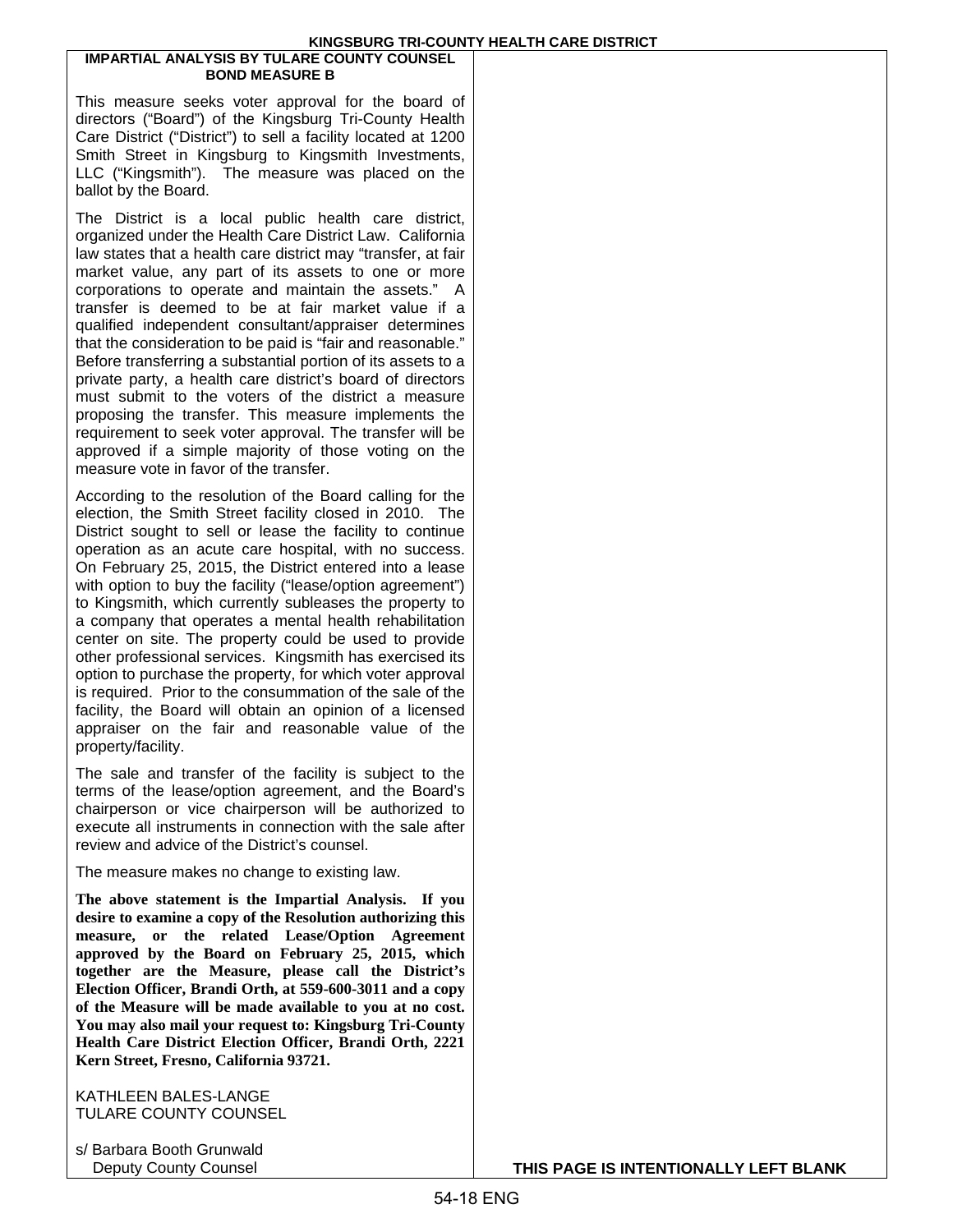#### **IMPARTIAL ANALYSIS BY TULARE COUNTY COUNSEL BOND MEASURE B**

This measure seeks voter approval for the board of directors ("Board") of the Kingsburg Tri-County Health Care District ("District") to sell a facility located at 1200 Smith Street in Kingsburg to Kingsmith Investments, LLC ("Kingsmith"). The measure was placed on the ballot by the Board.

The District is a local public health care district, organized under the Health Care District Law. California law states that a health care district may "transfer, at fair market value, any part of its assets to one or more corporations to operate and maintain the assets." A transfer is deemed to be at fair market value if a qualified independent consultant/appraiser determines that the consideration to be paid is "fair and reasonable." Before transferring a substantial portion of its assets to a private party, a health care district's board of directors must submit to the voters of the district a measure proposing the transfer. This measure implements the requirement to seek voter approval. The transfer will be approved if a simple majority of those voting on the measure vote in favor of the transfer.

According to the resolution of the Board calling for the election, the Smith Street facility closed in 2010. The District sought to sell or lease the facility to continue operation as an acute care hospital, with no success. On February 25, 2015, the District entered into a lease with option to buy the facility ("lease/option agreement") to Kingsmith, which currently subleases the property to a company that operates a mental health rehabilitation center on site. The property could be used to provide other professional services. Kingsmith has exercised its option to purchase the property, for which voter approval is required. Prior to the consummation of the sale of the facility, the Board will obtain an opinion of a licensed appraiser on the fair and reasonable value of the property/facility.

The sale and transfer of the facility is subject to the terms of the lease/option agreement, and the Board's chairperson or vice chairperson will be authorized to execute all instruments in connection with the sale after review and advice of the District's counsel.

The measure makes no change to existing law.

**The above statement is the Impartial Analysis. If you desire to examine a copy of the Resolution authorizing this measure, or the related Lease/Option Agreement approved by the Board on February 25, 2015, which together are the Measure, please call the District's Election Officer, Brandi Orth, at 559-600-3011 and a copy of the Measure will be made available to you at no cost. You may also mail your request to: Kingsburg Tri-County Health Care District Election Officer, Brandi Orth, 2221 Kern Street, Fresno, California 93721.**

KATHLEEN BALES-LANGE TULARE COUNTY COUNSEL

s/ Barbara Booth Grunwald

Deputy County Counsel **THIS PAGE IS INTENTIONALLY LEFT BLANK**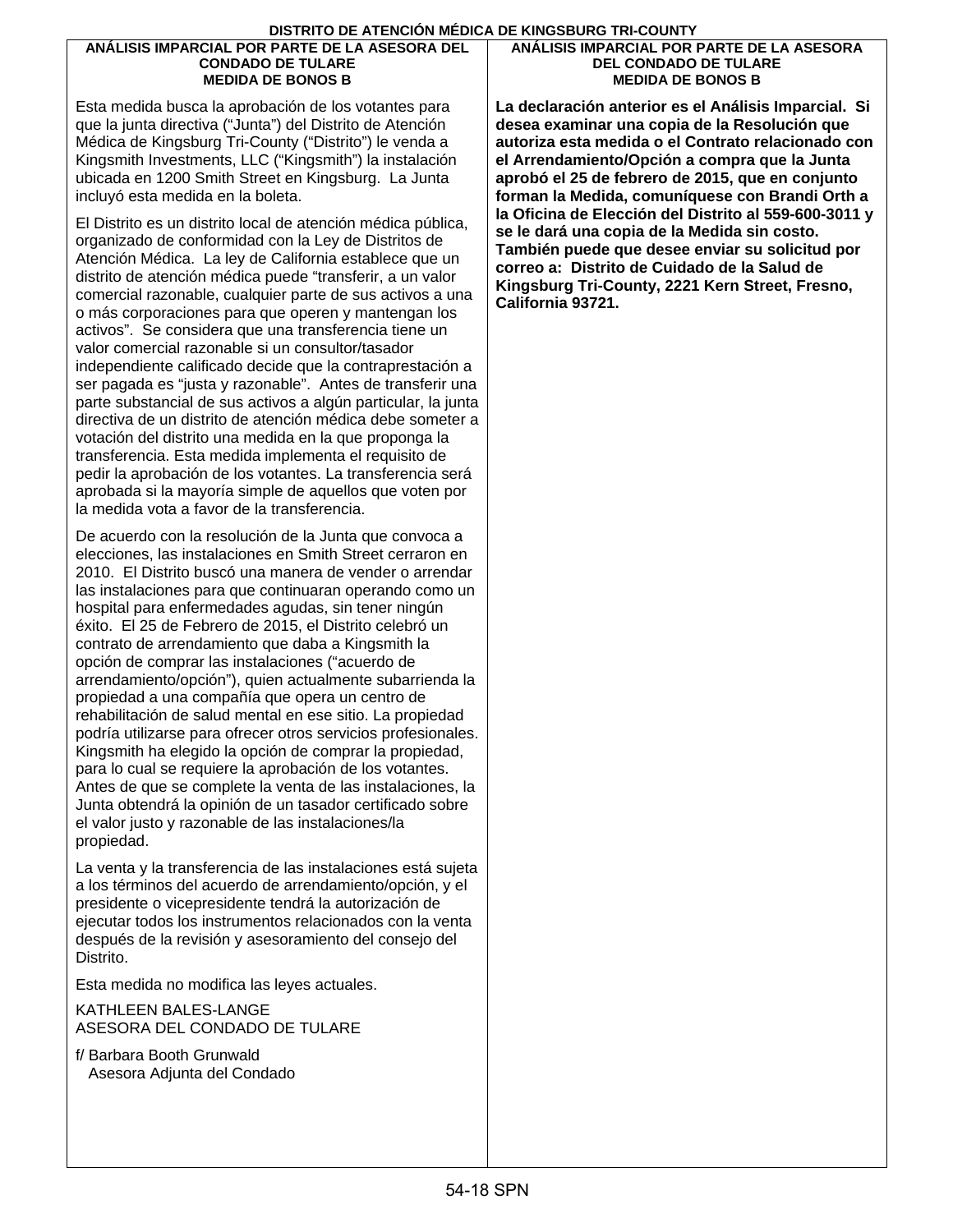#### **ANÁLISIS IMPARCIAL POR PARTE DE LA ASESORA DEL CONDADO DE TULARE MEDIDA DE BONOS B**

Esta medida busca la aprobación de los votantes para que la junta directiva ("Junta") del Distrito de Atención Médica de Kingsburg Tri-County ("Distrito") le venda a Kingsmith Investments, LLC ("Kingsmith") la instalación ubicada en 1200 Smith Street en Kingsburg. La Junta incluyó esta medida en la boleta.

El Distrito es un distrito local de atención médica pública, organizado de conformidad con la Ley de Distritos de Atención Médica. La ley de California establece que un distrito de atención médica puede "transferir, a un valor comercial razonable, cualquier parte de sus activos a una o más corporaciones para que operen y mantengan los activos". Se considera que una transferencia tiene un valor comercial razonable si un consultor/tasador independiente calificado decide que la contraprestación a ser pagada es "justa y razonable". Antes de transferir una parte substancial de sus activos a algún particular, la junta directiva de un distrito de atención médica debe someter a votación del distrito una medida en la que proponga la transferencia. Esta medida implementa el requisito de pedir la aprobación de los votantes. La transferencia será aprobada si la mayoría simple de aquellos que voten por la medida vota a favor de la transferencia.

De acuerdo con la resolución de la Junta que convoca a elecciones, las instalaciones en Smith Street cerraron en 2010. El Distrito buscó una manera de vender o arrendar las instalaciones para que continuaran operando como un hospital para enfermedades agudas, sin tener ningún éxito. El 25 de Febrero de 2015, el Distrito celebró un contrato de arrendamiento que daba a Kingsmith la opción de comprar las instalaciones ("acuerdo de arrendamiento/opción"), quien actualmente subarrienda la propiedad a una compañía que opera un centro de rehabilitación de salud mental en ese sitio. La propiedad podría utilizarse para ofrecer otros servicios profesionales. Kingsmith ha elegido la opción de comprar la propiedad, para lo cual se requiere la aprobación de los votantes. Antes de que se complete la venta de las instalaciones, la Junta obtendrá la opinión de un tasador certificado sobre el valor justo y razonable de las instalaciones/la propiedad.

La venta y la transferencia de las instalaciones está sujeta a los términos del acuerdo de arrendamiento/opción, y el presidente o vicepresidente tendrá la autorización de ejecutar todos los instrumentos relacionados con la venta después de la revisión y asesoramiento del consejo del Distrito.

Esta medida no modifica las leyes actuales.

KATHLEEN BALES-LANGE ASESORA DEL CONDADO DE TULARE

f/ Barbara Booth Grunwald Asesora Adjunta del Condado

### **ANÁLISIS IMPARCIAL POR PARTE DE LA ASESORA DEL CONDADO DE TULARE MEDIDA DE BONOS B**

**La declaración anterior es el Análisis Imparcial. Si desea examinar una copia de la Resolución que autoriza esta medida o el Contrato relacionado con el Arrendamiento/Opción a compra que la Junta aprobó el 25 de febrero de 2015, que en conjunto forman la Medida, comuníquese con Brandi Orth a la Oficina de Elección del Distrito al 559-600-3011 y se le dará una copia de la Medida sin costo. También puede que desee enviar su solicitud por correo a: Distrito de Cuidado de la Salud de Kingsburg Tri-County, 2221 Kern Street, Fresno, California 93721.**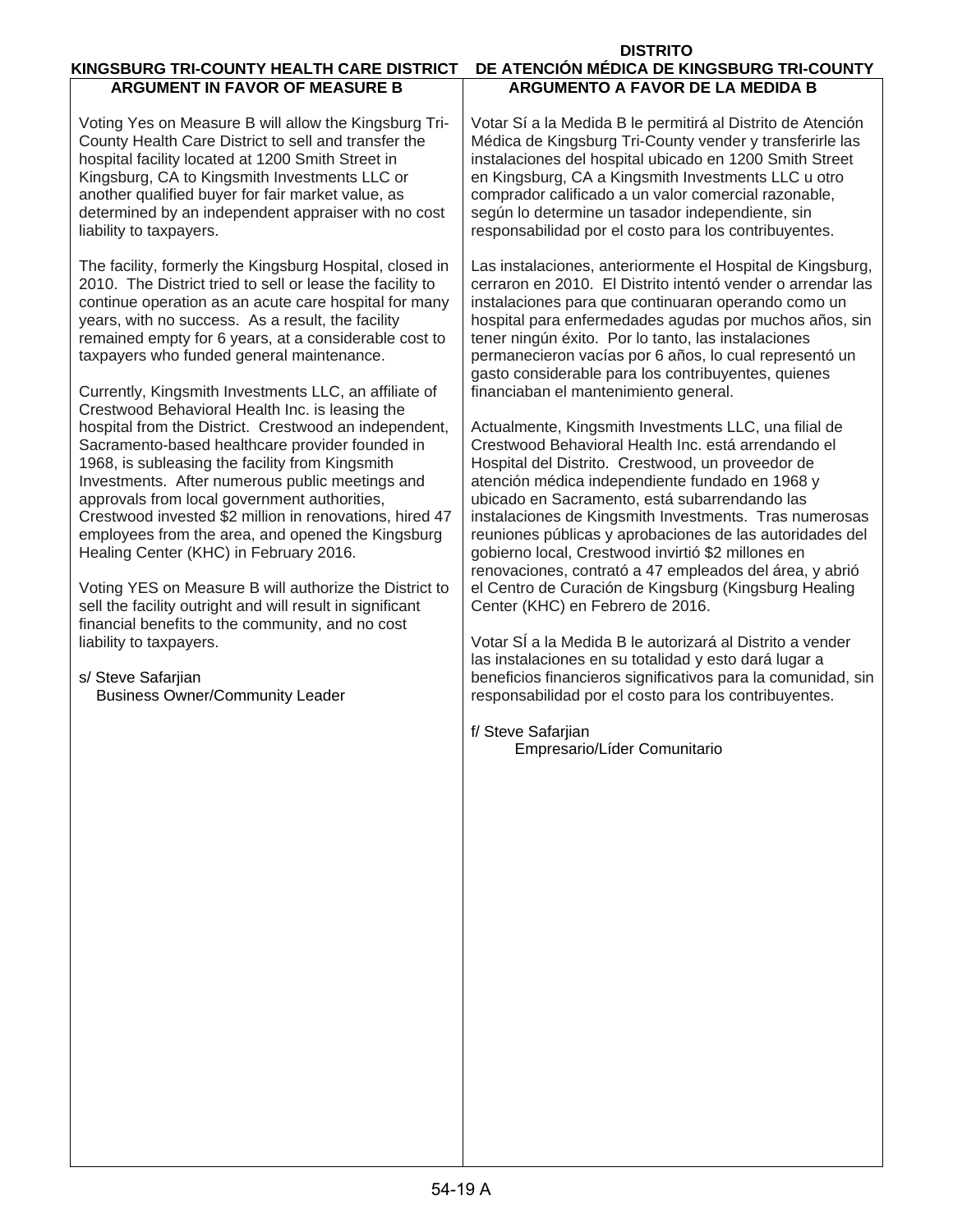| KINGSBURG TRI-COUNTY HEALTH CARE DISTRICT                                                                                                                                                                                                                                                                                                                                                                                                                                                                                                                                                          | <b>DISTRITO</b><br>DE ATENCIÓN MÉDICA DE KINGSBURG TRI-COUNTY                                                                                                                                                                                                                                                                                                                                                                                                                                                                                                                                             |  |  |  |  |  |  |  |  |
|----------------------------------------------------------------------------------------------------------------------------------------------------------------------------------------------------------------------------------------------------------------------------------------------------------------------------------------------------------------------------------------------------------------------------------------------------------------------------------------------------------------------------------------------------------------------------------------------------|-----------------------------------------------------------------------------------------------------------------------------------------------------------------------------------------------------------------------------------------------------------------------------------------------------------------------------------------------------------------------------------------------------------------------------------------------------------------------------------------------------------------------------------------------------------------------------------------------------------|--|--|--|--|--|--|--|--|
| <b>ARGUMENT IN FAVOR OF MEASURE B</b>                                                                                                                                                                                                                                                                                                                                                                                                                                                                                                                                                              | <b>ARGUMENTO A FAVOR DE LA MEDIDA B</b>                                                                                                                                                                                                                                                                                                                                                                                                                                                                                                                                                                   |  |  |  |  |  |  |  |  |
| Voting Yes on Measure B will allow the Kingsburg Tri-<br>County Health Care District to sell and transfer the<br>hospital facility located at 1200 Smith Street in<br>Kingsburg, CA to Kingsmith Investments LLC or<br>another qualified buyer for fair market value, as<br>determined by an independent appraiser with no cost<br>liability to taxpayers.                                                                                                                                                                                                                                         | Votar Sí a la Medida B le permitirá al Distrito de Atención<br>Médica de Kingsburg Tri-County vender y transferirle las<br>instalaciones del hospital ubicado en 1200 Smith Street<br>en Kingsburg, CA a Kingsmith Investments LLC u otro<br>comprador calificado a un valor comercial razonable,<br>según lo determine un tasador independiente, sin<br>responsabilidad por el costo para los contribuyentes.                                                                                                                                                                                            |  |  |  |  |  |  |  |  |
| The facility, formerly the Kingsburg Hospital, closed in<br>2010. The District tried to sell or lease the facility to<br>continue operation as an acute care hospital for many<br>years, with no success. As a result, the facility<br>remained empty for 6 years, at a considerable cost to<br>taxpayers who funded general maintenance.<br>Currently, Kingsmith Investments LLC, an affiliate of                                                                                                                                                                                                 | Las instalaciones, anteriormente el Hospital de Kingsburg,<br>cerraron en 2010. El Distrito intentó vender o arrendar las<br>instalaciones para que continuaran operando como un<br>hospital para enfermedades agudas por muchos años, sin<br>tener ningún éxito. Por lo tanto, las instalaciones<br>permanecieron vacías por 6 años, lo cual representó un<br>gasto considerable para los contribuyentes, quienes<br>financiaban el mantenimiento general.                                                                                                                                               |  |  |  |  |  |  |  |  |
| Crestwood Behavioral Health Inc. is leasing the<br>hospital from the District. Crestwood an independent,<br>Sacramento-based healthcare provider founded in<br>1968, is subleasing the facility from Kingsmith<br>Investments. After numerous public meetings and<br>approvals from local government authorities,<br>Crestwood invested \$2 million in renovations, hired 47<br>employees from the area, and opened the Kingsburg<br>Healing Center (KHC) in February 2016.<br>Voting YES on Measure B will authorize the District to<br>sell the facility outright and will result in significant | Actualmente, Kingsmith Investments LLC, una filial de<br>Crestwood Behavioral Health Inc. está arrendando el<br>Hospital del Distrito. Crestwood, un proveedor de<br>atención médica independiente fundado en 1968 y<br>ubicado en Sacramento, está subarrendando las<br>instalaciones de Kingsmith Investments. Tras numerosas<br>reuniones públicas y aprobaciones de las autoridades del<br>gobierno local, Crestwood invirtió \$2 millones en<br>renovaciones, contrató a 47 empleados del área, y abrió<br>el Centro de Curación de Kingsburg (Kingsburg Healing<br>Center (KHC) en Febrero de 2016. |  |  |  |  |  |  |  |  |
| financial benefits to the community, and no cost<br>liability to taxpayers.<br>s/ Steve Safarjian<br><b>Business Owner/Community Leader</b>                                                                                                                                                                                                                                                                                                                                                                                                                                                        | Votar SÍ a la Medida B le autorizará al Distrito a vender<br>las instalaciones en su totalidad y esto dará lugar a<br>beneficios financieros significativos para la comunidad, sin<br>responsabilidad por el costo para los contribuyentes.<br>f/ Steve Safarjian<br>Empresario/Líder Comunitario                                                                                                                                                                                                                                                                                                         |  |  |  |  |  |  |  |  |
|                                                                                                                                                                                                                                                                                                                                                                                                                                                                                                                                                                                                    |                                                                                                                                                                                                                                                                                                                                                                                                                                                                                                                                                                                                           |  |  |  |  |  |  |  |  |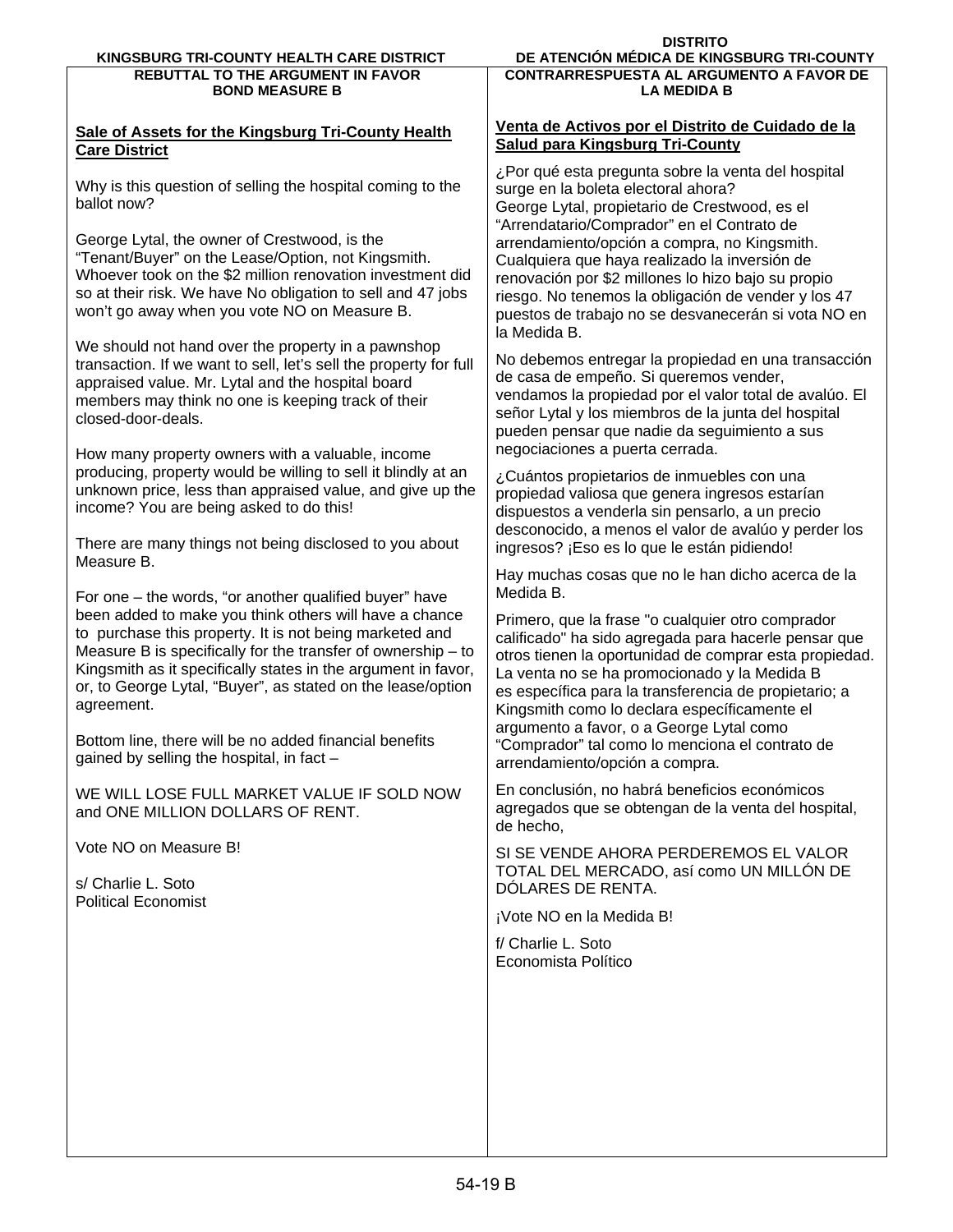## **Sale of Assets for the Kingsburg Tri-County Health Care District**

Why is this question of selling the hospital coming to the ballot now?

George Lytal, the owner of Crestwood, is the "Tenant/Buyer" on the Lease/Option, not Kingsmith. Whoever took on the \$2 million renovation investment did so at their risk. We have No obligation to sell and 47 jobs won't go away when you vote NO on Measure B.

We should not hand over the property in a pawnshop transaction. If we want to sell, let's sell the property for full appraised value. Mr. Lytal and the hospital board members may think no one is keeping track of their closed-door-deals.

How many property owners with a valuable, income producing, property would be willing to sell it blindly at an unknown price, less than appraised value, and give up the income? You are being asked to do this!

There are many things not being disclosed to you about Measure B.

For one – the words, "or another qualified buyer" have been added to make you think others will have a chance to purchase this property. It is not being marketed and Measure B is specifically for the transfer of ownership – to Kingsmith as it specifically states in the argument in favor, or, to George Lytal, "Buyer", as stated on the lease/option agreement.

Bottom line, there will be no added financial benefits gained by selling the hospital, in fact –

WE WILL LOSE FULL MARKET VALUE IF SOLD NOW and ONE MILLION DOLLARS OF RENT.

Vote NO on Measure B!

s/ Charlie L. Soto Political Economist **LA MEDIDA B**

### **Venta de Activos por el Distrito de Cuidado de la Salud para Kingsburg Tri-County**

¿Por qué esta pregunta sobre la venta del hospital surge en la boleta electoral ahora? George Lytal, propietario de Crestwood, es el "Arrendatario/Comprador" en el Contrato de arrendamiento/opción a compra, no Kingsmith. Cualquiera que haya realizado la inversión de renovación por \$2 millones lo hizo bajo su propio riesgo. No tenemos la obligación de vender y los 47 puestos de trabajo no se desvanecerán si vota NO en la Medida B.

No debemos entregar la propiedad en una transacción de casa de empeño. Si queremos vender, vendamos la propiedad por el valor total de avalúo. El señor Lytal y los miembros de la junta del hospital pueden pensar que nadie da seguimiento a sus negociaciones a puerta cerrada.

¿Cuántos propietarios de inmuebles con una propiedad valiosa que genera ingresos estarían dispuestos a venderla sin pensarlo, a un precio desconocido, a menos el valor de avalúo y perder los ingresos? ¡Eso es lo que le están pidiendo!

Hay muchas cosas que no le han dicho acerca de la Medida B.

Primero, que la frase "o cualquier otro comprador calificado" ha sido agregada para hacerle pensar que otros tienen la oportunidad de comprar esta propiedad. La venta no se ha promocionado y la Medida B es específica para la transferencia de propietario; a Kingsmith como lo declara específicamente el argumento a favor, o a George Lytal como "Comprador" tal como lo menciona el contrato de arrendamiento/opción a compra.

En conclusión, no habrá beneficios económicos agregados que se obtengan de la venta del hospital, de hecho,

SI SE VENDE AHORA PERDEREMOS EL VALOR TOTAL DEL MERCADO, así como UN MILLÓN DE DÓLARES DE RENTA.

¡Vote NO en la Medida B!

f/ Charlie L. Soto Economista Político